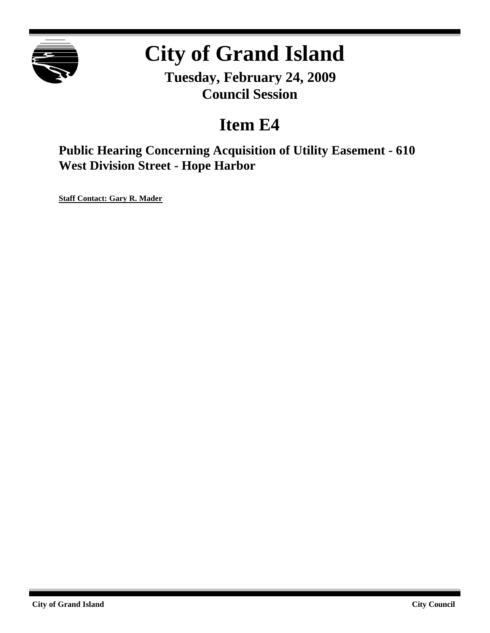

# **City of Grand Island**

**Tuesday, February 24, 2009 Council Session**

## **Item E4**

**Public Hearing Concerning Acquisition of Utility Easement - 610 West Division Street - Hope Harbor**

**Staff Contact: Gary R. Mader**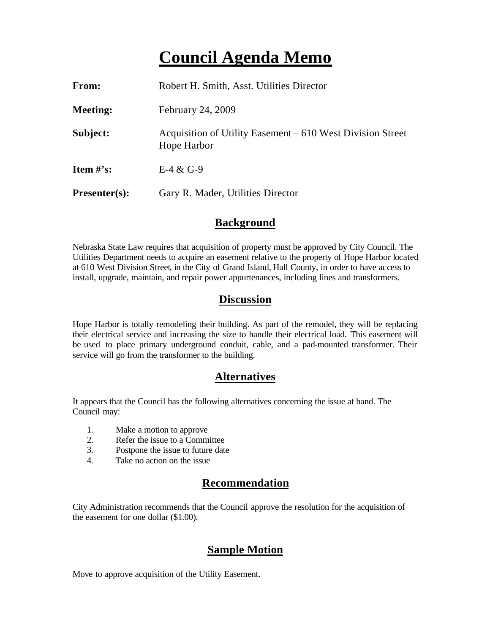### **Council Agenda Memo**

| From:           | Robert H. Smith, Asst. Utilities Director                                 |
|-----------------|---------------------------------------------------------------------------|
| <b>Meeting:</b> | February 24, 2009                                                         |
| Subject:        | Acquisition of Utility Easement – 610 West Division Street<br>Hope Harbor |
| Item $\#$ 's:   | $E-4 & G-9$                                                               |
| $Presenter(s):$ | Gary R. Mader, Utilities Director                                         |

#### **Background**

Nebraska State Law requires that acquisition of property must be approved by City Council. The Utilities Department needs to acquire an easement relative to the property of Hope Harbor located at 610 West Division Street, in the City of Grand Island, Hall County, in order to have access to install, upgrade, maintain, and repair power appurtenances, including lines and transformers.

#### **Discussion**

Hope Harbor is totally remodeling their building. As part of the remodel, they will be replacing their electrical service and increasing the size to handle their electrical load. This easement will be used to place primary underground conduit, cable, and a pad-mounted transformer. Their service will go from the transformer to the building.

#### **Alternatives**

It appears that the Council has the following alternatives concerning the issue at hand. The Council may:

- 1. Make a motion to approve
- 2. Refer the issue to a Committee
- 3. Postpone the issue to future date
- 4. Take no action on the issue

#### **Recommendation**

City Administration recommends that the Council approve the resolution for the acquisition of the easement for one dollar (\$1.00).

#### **Sample Motion**

Move to approve acquisition of the Utility Easement.